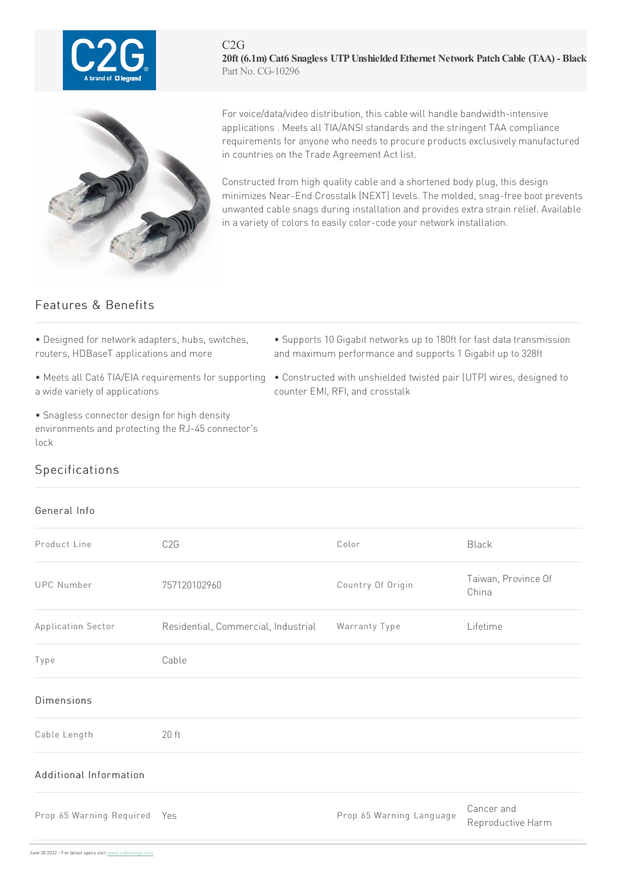

 $C2G$ **20ft (6.1m) Cat6 Snagless UTPUnshieldedEthernet Network PatchCable (TAA) - Black** Part No. CG-10296



For voice/data/video distribution, this cable will handle bandwidth-intensive applications . Meets all TIA/ANSI standards and the stringent TAA compliance requirements for anyone who needs to procure products exclusively manufactured in countries on the Trade Agreement Act list.

Constructed from high quality cable and a shortened body plug, this design minimizes Near-End Crosstalk (NEXT) levels. The molded, snag-free boot prevents unwanted cable snags during installation and provides extra strain relief. Available in a variety of colors to easily color-code your network installation.

## Features & Benefits

• Designed for network adapters, hubs, switches, routers, HDBaseT applications and more

- a wide variety of applications
- Snagless connector design for high density environments and protecting the RJ-45 connector's lock
- Supports 10 Gigabit networks up to 180ft for fast data transmission and maximum performance and supports 1 Gigabit up to 328ft
- Meets all Cat6 TIA/EIA requirements for supporting Constructed with unshielded twisted pair (UTP) wires, designed to counter EMI, RFI, and crosstalk

## Specifications

## General Info

| Product Line                 | C <sub>2</sub> G                    | Color                    | Black                           |
|------------------------------|-------------------------------------|--------------------------|---------------------------------|
| <b>UPC Number</b>            | 757120102960                        | Country Of Origin        | Taiwan, Province Of<br>China    |
| Application Sector           | Residential, Commercial, Industrial | Warranty Type            | Lifetime                        |
| Type                         | Cable                               |                          |                                 |
| <b>Dimensions</b>            |                                     |                          |                                 |
| Cable Length                 | $20$ ft                             |                          |                                 |
| Additional Information       |                                     |                          |                                 |
| Prop 65 Warning Required Yes |                                     | Prop 65 Warning Language | Cancer and<br>Reproductive Harm |